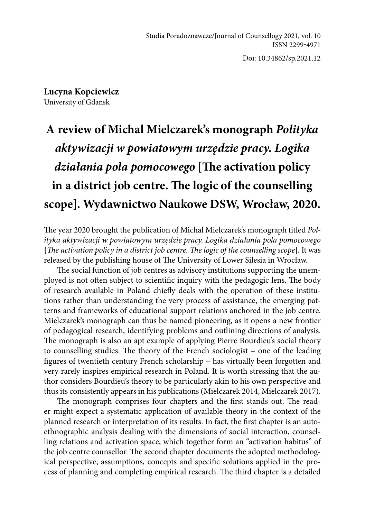Doi: 10.34862/sp.2021.12

**Lucyna Kopciewicz**  University of Gdansk

## **A review of Michal Mielczarek's monograph** *Polityka aktywizacji w powiatowym urzędzie pracy. Logika działania pola pomocowego* **[The activation policy in a district job centre. The logic of the counselling scope]. Wydawnictwo Naukowe DSW, Wrocław, 2020.**

The year 2020 brought the publication of Michal Mielczarek's monograph titled *Polityka aktywizacji w powiatowym urzędzie pracy. Logika działania pola pomocowego* **[***The activation policy in a district job centre. The logic of the counselling scope*]. It was released by the publishing house of The University of Lower Silesia in Wrocław.

The social function of job centres as advisory institutions supporting the unemployed is not often subject to scientific inquiry with the pedagogic lens. The body of research available in Poland chiefly deals with the operation of these institutions rather than understanding the very process of assistance, the emerging patterns and frameworks of educational support relations anchored in the job centre. Mielczarek's monograph can thus be named pioneering, as it opens a new frontier of pedagogical research, identifying problems and outlining directions of analysis. The monograph is also an apt example of applying Pierre Bourdieu's social theory to counselling studies. The theory of the French sociologist – one of the leading figures of twentieth century French scholarship – has virtually been forgotten and very rarely inspires empirical research in Poland. It is worth stressing that the author considers Bourdieu's theory to be particularly akin to his own perspective and thus its consistently appears in his publications (Mielczarek 2014, Mielczarek 2017).

The monograph comprises four chapters and the first stands out. The reader might expect a systematic application of available theory in the context of the planned research or interpretation of its results. In fact, the first chapter is an autoethnographic analysis dealing with the dimensions of social interaction, counselling relations and activation space, which together form an "activation habitus" of the job centre counsellor. The second chapter documents the adopted methodological perspective, assumptions, concepts and specific solutions applied in the process of planning and completing empirical research. The third chapter is a detailed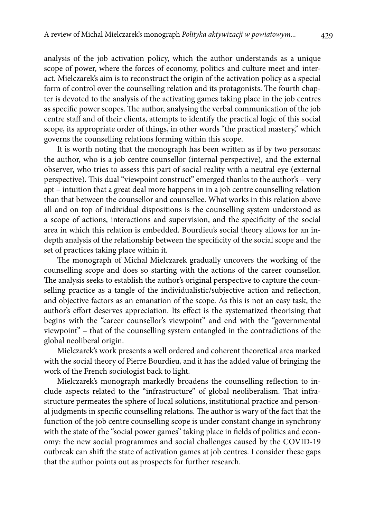analysis of the job activation policy, which the author understands as a unique scope of power, where the forces of economy, politics and culture meet and interact. Mielczarek's aim is to reconstruct the origin of the activation policy as a special form of control over the counselling relation and its protagonists. The fourth chapter is devoted to the analysis of the activating games taking place in the job centres as specific power scopes. The author, analysing the verbal communication of the job centre staff and of their clients, attempts to identify the practical logic of this social scope, its appropriate order of things, in other words "the practical mastery," which governs the counselling relations forming within this scope.

It is worth noting that the monograph has been written as if by two personas: the author, who is a job centre counsellor (internal perspective), and the external observer, who tries to assess this part of social reality with a neutral eye (external perspective). This dual "viewpoint construct" emerged thanks to the author's – very apt – intuition that a great deal more happens in in a job centre counselling relation than that between the counsellor and counsellee. What works in this relation above all and on top of individual dispositions is the counselling system understood as a scope of actions, interactions and supervision, and the specificity of the social area in which this relation is embedded. Bourdieu's social theory allows for an indepth analysis of the relationship between the specificity of the social scope and the set of practices taking place within it.

The monograph of Michal Mielczarek gradually uncovers the working of the counselling scope and does so starting with the actions of the career counsellor. The analysis seeks to establish the author's original perspective to capture the counselling practice as a tangle of the individualistic/subjective action and reflection, and objective factors as an emanation of the scope. As this is not an easy task, the author's effort deserves appreciation. Its effect is the systematized theorising that begins with the "career counsellor's viewpoint" and end with the "governmental viewpoint" – that of the counselling system entangled in the contradictions of the global neoliberal origin.

Mielczarek's work presents a well ordered and coherent theoretical area marked with the social theory of Pierre Bourdieu, and it has the added value of bringing the work of the French sociologist back to light.

Mielczarek's monograph markedly broadens the counselling reflection to include aspects related to the "infrastructure" of global neoliberalism. That infrastructure permeates the sphere of local solutions, institutional practice and personal judgments in specific counselling relations. The author is wary of the fact that the function of the job centre counselling scope is under constant change in synchrony with the state of the "social power games" taking place in fields of politics and economy: the new social programmes and social challenges caused by the COVID-19 outbreak can shift the state of activation games at job centres. I consider these gaps that the author points out as prospects for further research.